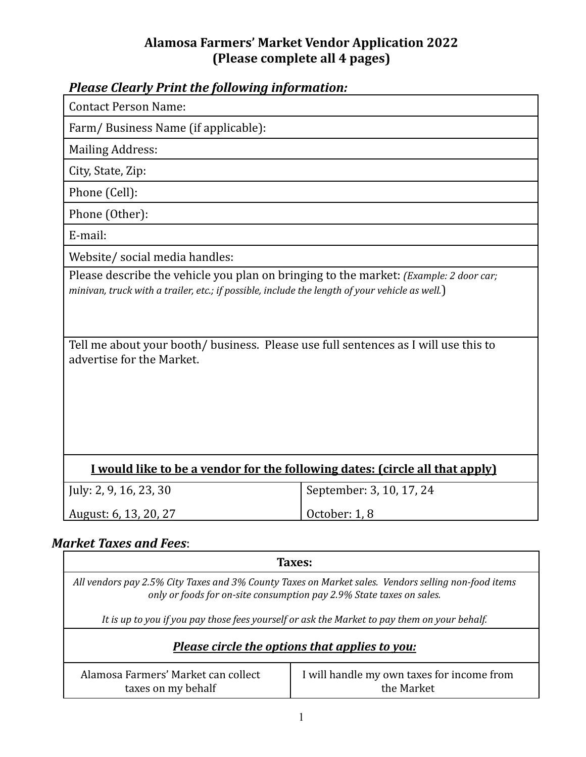### **Alamosa Farmers' Market Vendor Application 2022 (Please complete all 4 pages)**

| <b>Please Clearly Print the following information:</b>                                                                                                                                                             |                          |  |
|--------------------------------------------------------------------------------------------------------------------------------------------------------------------------------------------------------------------|--------------------------|--|
| <b>Contact Person Name:</b>                                                                                                                                                                                        |                          |  |
| Farm/Business Name (if applicable):                                                                                                                                                                                |                          |  |
| <b>Mailing Address:</b>                                                                                                                                                                                            |                          |  |
| City, State, Zip:                                                                                                                                                                                                  |                          |  |
| Phone (Cell):                                                                                                                                                                                                      |                          |  |
| Phone (Other):                                                                                                                                                                                                     |                          |  |
| E-mail:                                                                                                                                                                                                            |                          |  |
| Website/ social media handles:                                                                                                                                                                                     |                          |  |
| minivan, truck with a trailer, etc.; if possible, include the length of your vehicle as well.)<br>Tell me about your booth/ business. Please use full sentences as I will use this to<br>advertise for the Market. |                          |  |
| I would like to be a vendor for the following dates: (circle all that apply)                                                                                                                                       |                          |  |
| July: 2, 9, 16, 23, 30                                                                                                                                                                                             | September: 3, 10, 17, 24 |  |
| August: 6, 13, 20, 27                                                                                                                                                                                              | October: 1, 8            |  |
|                                                                                                                                                                                                                    |                          |  |
| <b>Market Taxes and Fees:</b>                                                                                                                                                                                      |                          |  |
| Taxes:                                                                                                                                                                                                             |                          |  |

*All vendors pay 2.5% City Taxes and 3% County Taxes on Market sales. Vendors selling non-food items only or foods for on-site consumption pay 2.9% State taxes on sales.*

It is up to you if you pay those fees yourself or ask the Market to pay them on your behalf.

## *Please circle the options that applies to you:*

| Alamosa Farmers' Market can collect | I will handle my own taxes for income from |
|-------------------------------------|--------------------------------------------|
| taxes on my behalf                  | the Market                                 |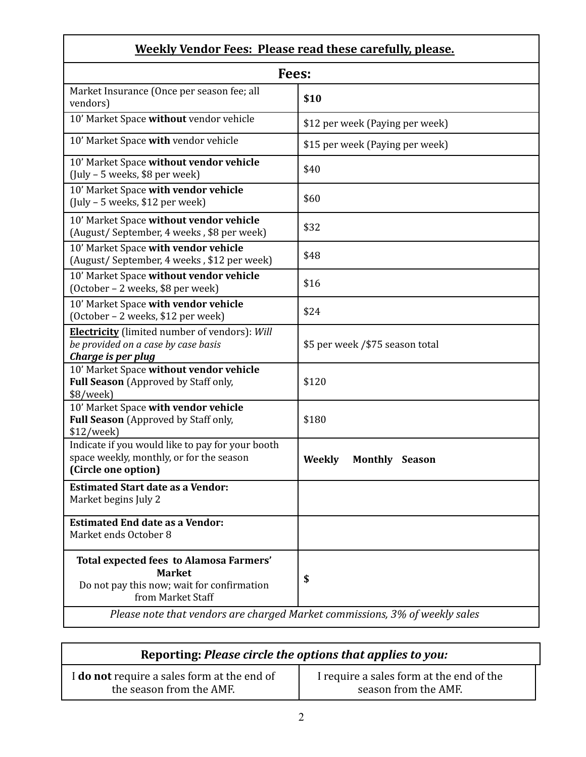# **Weekly Vendor Fees: Please read these carefully, please.**

| Fees:                                                                                                                       |                                        |  |
|-----------------------------------------------------------------------------------------------------------------------------|----------------------------------------|--|
| Market Insurance (Once per season fee; all<br>vendors)                                                                      | \$10                                   |  |
| 10' Market Space without vendor vehicle                                                                                     | \$12 per week (Paying per week)        |  |
| 10' Market Space with vendor vehicle                                                                                        | \$15 per week (Paying per week)        |  |
| 10' Market Space without vendor vehicle<br>$($ July – 5 weeks, \$8 per week $)$                                             | \$40                                   |  |
| 10' Market Space with vendor vehicle<br>$($ July – 5 weeks, \$12 per week $)$                                               | \$60                                   |  |
| 10' Market Space without vendor vehicle<br>(August/September, 4 weeks, \$8 per week)                                        | \$32                                   |  |
| 10' Market Space with vendor vehicle<br>(August/September, 4 weeks, \$12 per week)                                          | \$48                                   |  |
| 10' Market Space without vendor vehicle<br>(October - 2 weeks, \$8 per week)                                                | \$16                                   |  |
| 10' Market Space with vendor vehicle<br>(October - 2 weeks, \$12 per week)                                                  | \$24                                   |  |
| <b>Electricity</b> (limited number of vendors): Will<br>be provided on a case by case basis<br>Charge is per plug           | \$5 per week / \$75 season total       |  |
| 10' Market Space without vendor vehicle<br><b>Full Season</b> (Approved by Staff only,<br>\$8/week)                         | \$120                                  |  |
| 10' Market Space with vendor vehicle<br>Full Season (Approved by Staff only,<br>\$12/week                                   | \$180                                  |  |
| Indicate if you would like to pay for your booth<br>space weekly, monthly, or for the season<br>(Circle one option)         | <b>Weekly</b><br><b>Monthly Season</b> |  |
| <b>Estimated Start date as a Vendor:</b><br>Market begins July 2                                                            |                                        |  |
| <b>Estimated End date as a Vendor:</b><br>Market ends October 8                                                             |                                        |  |
| Total expected fees to Alamosa Farmers'<br><b>Market</b><br>Do not pay this now; wait for confirmation<br>from Market Staff | \$                                     |  |
| Please note that vendors are charged Market commissions, 3% of weekly sales                                                 |                                        |  |

| Reporting: Please circle the options that applies to you: |                                          |
|-----------------------------------------------------------|------------------------------------------|
| I do not require a sales form at the end of               | I require a sales form at the end of the |
| the season from the AMF.                                  | season from the AMF.                     |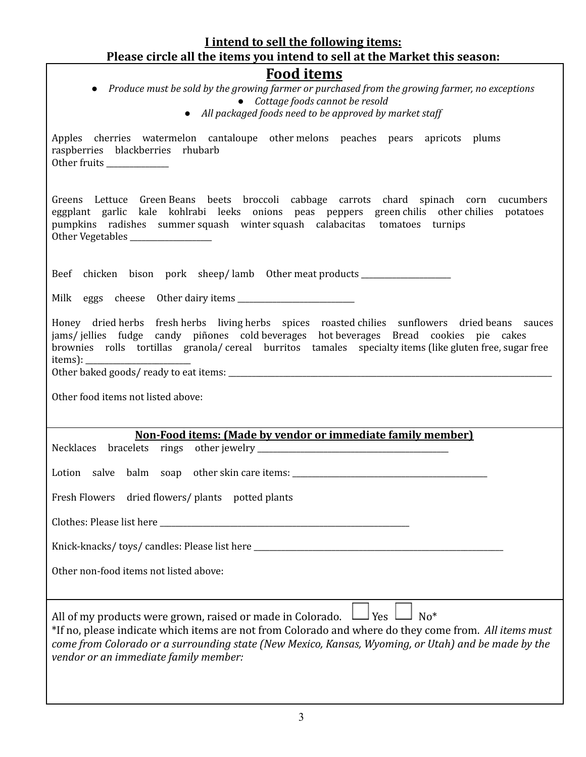#### **I intend to sell the following items: Please circle all the items you intend to sell at the Market this season: Food items** *● Produce must be sold by the growing farmer or purchased from the growing farmer, no exceptions ● Cottage foods cannot be resold ● All packaged foods need to be approved by market staf*

Apples cherries watermelon cantaloupe other melons peaches pears apricots plums raspberries blackberries rhubarb Other fruits Greens Lettuce Green Beans beets broccoli cabbage carrots chard spinach corn cucumbers

eggplant garlic kale kohlrabi leeks onions peas peppers green chilis other chilies potatoes pumpkins radishes summer squash winter squash calabacitas tomatoes turnips Other Vegetables

Beef chicken bison pork sheep/lamb Other meat products \_\_\_\_\_\_\_\_\_\_\_\_\_\_\_\_\_\_\_\_\_\_\_\_\_

Milk eggs cheese Other dairy items \_\_\_\_\_\_\_\_\_\_\_\_\_\_\_\_\_\_\_\_\_\_\_\_\_\_\_\_\_\_

Honey dried herbs fresh herbs living herbs spices roasted chilies sunflowers dried beans sauces jams/ jellies fudge candy piñones cold beverages hot beverages Bread cookies pie cakes brownies rolls tortillas granola/ cereal burritos tamales specialty items (like gluten free, sugar free items):

Other baked goods/ ready to eat items: **with a set of the set of the set of the set of the set of the set of the set of the set of the set of the set of the set of the set of the set of the set of the set of the set of the** 

Other food items not listed above:

#### **Non-Food items: (Made by vendor or immediate family member)**

| Lotion salve balm soap other skin care items: __________________________________                                                                                                                                                                                                                                                          |  |  |
|-------------------------------------------------------------------------------------------------------------------------------------------------------------------------------------------------------------------------------------------------------------------------------------------------------------------------------------------|--|--|
| Fresh Flowers dried flowers/ plants potted plants                                                                                                                                                                                                                                                                                         |  |  |
|                                                                                                                                                                                                                                                                                                                                           |  |  |
|                                                                                                                                                                                                                                                                                                                                           |  |  |
| Other non-food items not listed above:                                                                                                                                                                                                                                                                                                    |  |  |
|                                                                                                                                                                                                                                                                                                                                           |  |  |
| All of my products were grown, raised or made in Colorado. $\Box$ Yes $\Box$ No*<br>*If no, please indicate which items are not from Colorado and where do they come from. All items must<br>come from Colorado or a surrounding state (New Mexico, Kansas, Wyoming, or Utah) and be made by the<br>vendor or an immediate family member: |  |  |